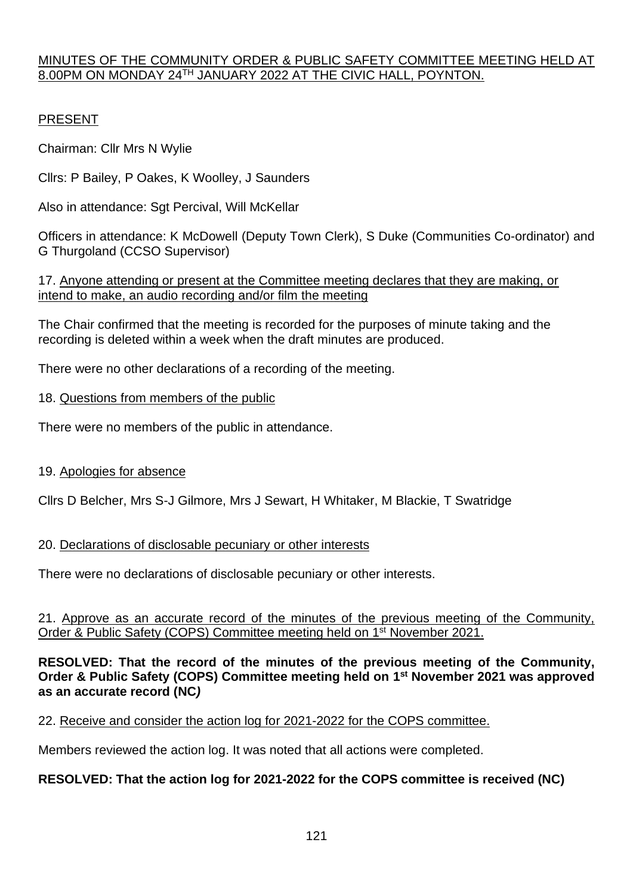### MINUTES OF THE COMMUNITY ORDER & PUBLIC SAFETY COMMITTEE MEETING HELD AT 8.00PM ON MONDAY 24TH JANUARY 2022 AT THE CIVIC HALL, POYNTON.

## PRESENT

Chairman: Cllr Mrs N Wylie

Cllrs: P Bailey, P Oakes, K Woolley, J Saunders

Also in attendance: Sgt Percival, Will McKellar

Officers in attendance: K McDowell (Deputy Town Clerk), S Duke (Communities Co-ordinator) and G Thurgoland (CCSO Supervisor)

17. Anyone attending or present at the Committee meeting declares that they are making, or intend to make, an audio recording and/or film the meeting

The Chair confirmed that the meeting is recorded for the purposes of minute taking and the recording is deleted within a week when the draft minutes are produced.

There were no other declarations of a recording of the meeting.

### 18. Questions from members of the public

There were no members of the public in attendance.

## 19. Apologies for absence

Cllrs D Belcher, Mrs S-J Gilmore, Mrs J Sewart, H Whitaker, M Blackie, T Swatridge

## 20. Declarations of disclosable pecuniary or other interests

There were no declarations of disclosable pecuniary or other interests.

21. Approve as an accurate record of the minutes of the previous meeting of the Community, Order & Public Safety (COPS) Committee meeting held on 1<sup>st</sup> November 2021.

### **RESOLVED: That the record of the minutes of the previous meeting of the Community, Order & Public Safety (COPS) Committee meeting held on 1 st November 2021 was approved as an accurate record (NC***)*

22. Receive and consider the action log for 2021-2022 for the COPS committee.

Members reviewed the action log. It was noted that all actions were completed.

## **RESOLVED: That the action log for 2021-2022 for the COPS committee is received (NC)**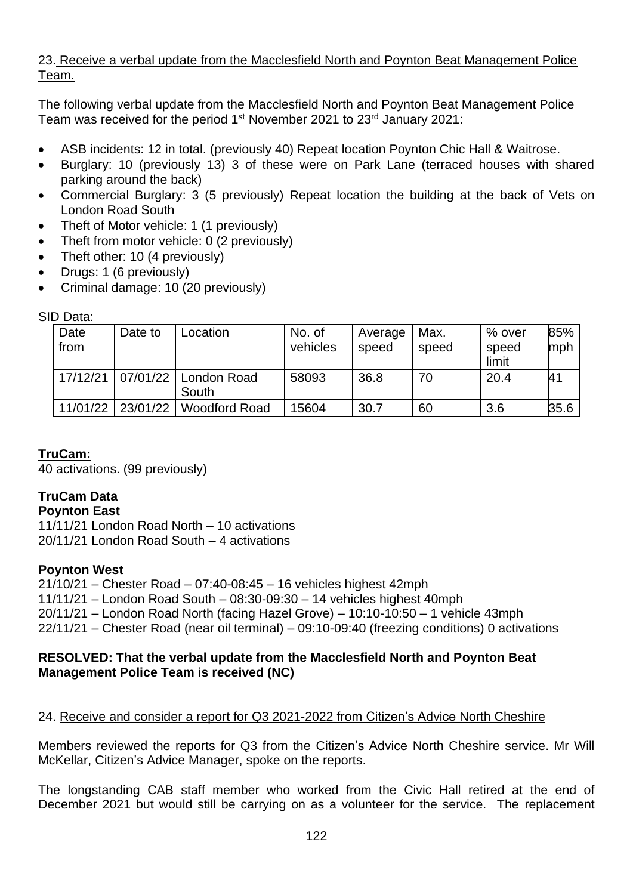## 23. Receive a verbal update from the Macclesfield North and Poynton Beat Management Police Team.

The following verbal update from the Macclesfield North and Poynton Beat Management Police Team was received for the period 1<sup>st</sup> November 2021 to 23<sup>rd</sup> January 2021:

- ASB incidents: 12 in total. (previously 40) Repeat location Poynton Chic Hall & Waitrose.
- Burglary: 10 (previously 13) 3 of these were on Park Lane (terraced houses with shared parking around the back)
- Commercial Burglary: 3 (5 previously) Repeat location the building at the back of Vets on London Road South
- Theft of Motor vehicle: 1 (1 previously)
- Theft from motor vehicle: 0 (2 previously)
- Theft other: 10 (4 previously)
- Drugs: 1 (6 previously)
- Criminal damage: 10 (20 previously)

SID Data:

| Date<br>from | Date to  | Location             | No. of<br>vehicles | Average<br>speed | Max.<br>speed | % over<br>speed<br>limit | 85%<br>mph |
|--------------|----------|----------------------|--------------------|------------------|---------------|--------------------------|------------|
| 17/12/21     | 07/01/22 | London Road<br>South | 58093              | 36.8             | 70            | 20.4                     |            |
| 11/01/22     | 23/01/22 | <b>Woodford Road</b> | 15604              | 30.7             | 60            | 3.6                      | 35.6       |

# **TruCam:**

40 activations. (99 previously)

# **TruCam Data**

#### **Poynton East**

11/11/21 London Road North – 10 activations 20/11/21 London Road South – 4 activations

## **Poynton West**

21/10/21 – Chester Road – 07:40-08:45 – 16 vehicles highest 42mph 11/11/21 – London Road South – 08:30-09:30 – 14 vehicles highest 40mph 20/11/21 – London Road North (facing Hazel Grove) – 10:10-10:50 – 1 vehicle 43mph 22/11/21 – Chester Road (near oil terminal) – 09:10-09:40 (freezing conditions) 0 activations

### **RESOLVED: That the verbal update from the Macclesfield North and Poynton Beat Management Police Team is received (NC)**

## 24. Receive and consider a report for Q3 2021-2022 from Citizen's Advice North Cheshire

Members reviewed the reports for Q3 from the Citizen's Advice North Cheshire service. Mr Will McKellar, Citizen's Advice Manager, spoke on the reports.

The longstanding CAB staff member who worked from the Civic Hall retired at the end of December 2021 but would still be carrying on as a volunteer for the service. The replacement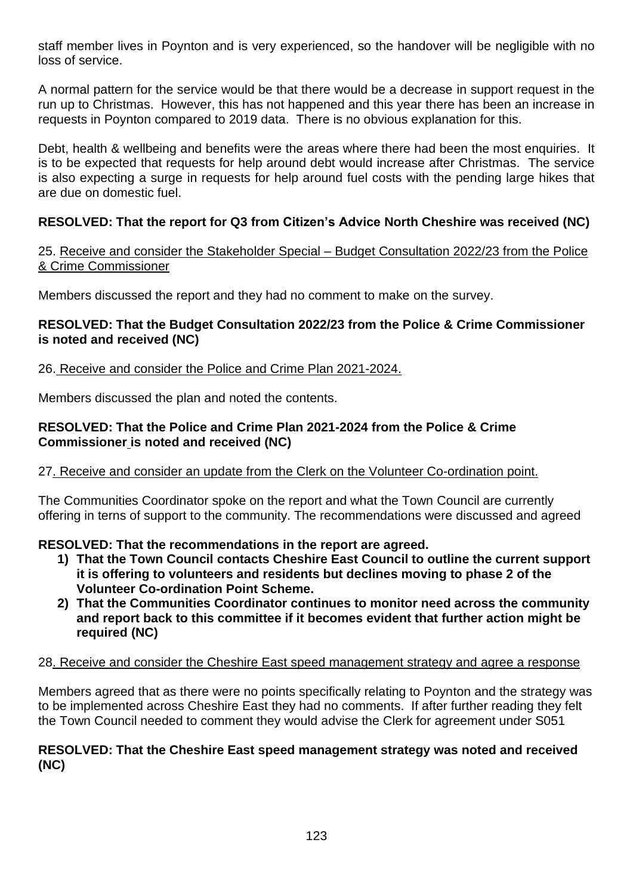staff member lives in Poynton and is very experienced, so the handover will be negligible with no loss of service.

A normal pattern for the service would be that there would be a decrease in support request in the run up to Christmas. However, this has not happened and this year there has been an increase in requests in Poynton compared to 2019 data. There is no obvious explanation for this.

Debt, health & wellbeing and benefits were the areas where there had been the most enquiries. It is to be expected that requests for help around debt would increase after Christmas. The service is also expecting a surge in requests for help around fuel costs with the pending large hikes that are due on domestic fuel.

# **RESOLVED: That the report for Q3 from Citizen's Advice North Cheshire was received (NC)**

### 25. Receive and consider the Stakeholder Special – Budget Consultation 2022/23 from the Police & Crime Commissioner

Members discussed the report and they had no comment to make on the survey.

### **RESOLVED: That the Budget Consultation 2022/23 from the Police & Crime Commissioner is noted and received (NC)**

### 26. Receive and consider the Police and Crime Plan 2021-2024.

Members discussed the plan and noted the contents.

### **RESOLVED: That the Police and Crime Plan 2021-2024 from the Police & Crime Commissioner is noted and received (NC)**

## 27. Receive and consider an update from the Clerk on the Volunteer Co-ordination point.

The Communities Coordinator spoke on the report and what the Town Council are currently offering in terns of support to the community. The recommendations were discussed and agreed

## **RESOLVED: That the recommendations in the report are agreed.**

- **1) That the Town Council contacts Cheshire East Council to outline the current support it is offering to volunteers and residents but declines moving to phase 2 of the Volunteer Co-ordination Point Scheme.**
- **2) That the Communities Coordinator continues to monitor need across the community and report back to this committee if it becomes evident that further action might be required (NC)**

#### 28. Receive and consider the Cheshire East speed management strategy and agree a response

Members agreed that as there were no points specifically relating to Poynton and the strategy was to be implemented across Cheshire East they had no comments. If after further reading they felt the Town Council needed to comment they would advise the Clerk for agreement under S051

#### **RESOLVED: That the Cheshire East speed management strategy was noted and received (NC)**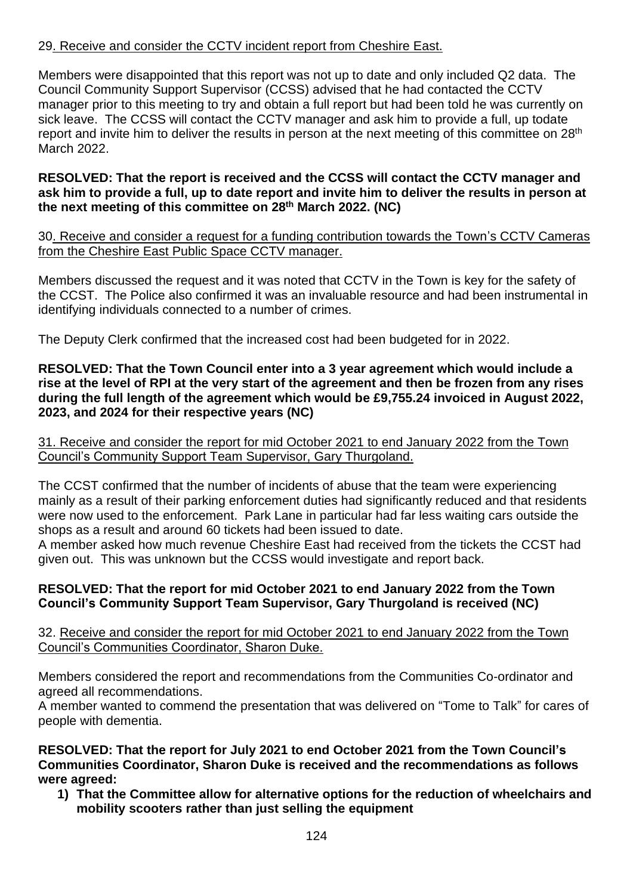## 29. Receive and consider the CCTV incident report from Cheshire East.

Members were disappointed that this report was not up to date and only included Q2 data. The Council Community Support Supervisor (CCSS) advised that he had contacted the CCTV manager prior to this meeting to try and obtain a full report but had been told he was currently on sick leave. The CCSS will contact the CCTV manager and ask him to provide a full, up todate report and invite him to deliver the results in person at the next meeting of this committee on 28<sup>th</sup> March 2022.

### **RESOLVED: That the report is received and the CCSS will contact the CCTV manager and ask him to provide a full, up to date report and invite him to deliver the results in person at the next meeting of this committee on 28th March 2022. (NC)**

30. Receive and consider a request for a funding contribution towards the Town's CCTV Cameras from the Cheshire East Public Space CCTV manager.

Members discussed the request and it was noted that CCTV in the Town is key for the safety of the CCST. The Police also confirmed it was an invaluable resource and had been instrumental in identifying individuals connected to a number of crimes.

The Deputy Clerk confirmed that the increased cost had been budgeted for in 2022.

#### **RESOLVED: That the Town Council enter into a 3 year agreement which would include a rise at the level of RPI at the very start of the agreement and then be frozen from any rises during the full length of the agreement which would be £9,755.24 invoiced in August 2022, 2023, and 2024 for their respective years (NC)**

31. Receive and consider the report for mid October 2021 to end January 2022 from the Town Council's Community Support Team Supervisor, Gary Thurgoland.

The CCST confirmed that the number of incidents of abuse that the team were experiencing mainly as a result of their parking enforcement duties had significantly reduced and that residents were now used to the enforcement. Park Lane in particular had far less waiting cars outside the shops as a result and around 60 tickets had been issued to date.

A member asked how much revenue Cheshire East had received from the tickets the CCST had given out. This was unknown but the CCSS would investigate and report back.

## **RESOLVED: That the report for mid October 2021 to end January 2022 from the Town Council's Community Support Team Supervisor, Gary Thurgoland is received (NC)**

32. Receive and consider the report for mid October 2021 to end January 2022 from the Town Council's Communities Coordinator, Sharon Duke.

Members considered the report and recommendations from the Communities Co-ordinator and agreed all recommendations.

A member wanted to commend the presentation that was delivered on "Tome to Talk" for cares of people with dementia.

**RESOLVED: That the report for July 2021 to end October 2021 from the Town Council's Communities Coordinator, Sharon Duke is received and the recommendations as follows were agreed:**

**1) That the Committee allow for alternative options for the reduction of wheelchairs and mobility scooters rather than just selling the equipment**